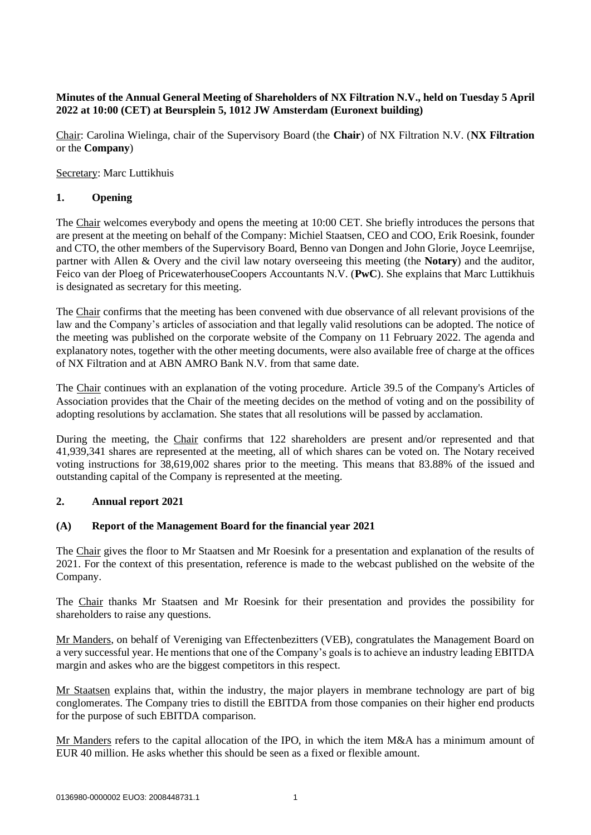# **Minutes of the Annual General Meeting of Shareholders of NX Filtration N.V., held on Tuesday 5 April 2022 at 10:00 (CET) at Beursplein 5, 1012 JW Amsterdam (Euronext building)**

Chair: Carolina Wielinga, chair of the Supervisory Board (the **Chair**) of NX Filtration N.V. (**NX Filtration** or the **Company**)

Secretary: Marc Luttikhuis

# **1. Opening**

The Chair welcomes everybody and opens the meeting at 10:00 CET. She briefly introduces the persons that are present at the meeting on behalf of the Company: Michiel Staatsen, CEO and COO, Erik Roesink, founder and CTO, the other members of the Supervisory Board, Benno van Dongen and John Glorie, Joyce Leemrijse, partner with Allen & Overy and the civil law notary overseeing this meeting (the **Notary**) and the auditor, Feico van der Ploeg of PricewaterhouseCoopers Accountants N.V. (**PwC**). She explains that Marc Luttikhuis is designated as secretary for this meeting.

The Chair confirms that the meeting has been convened with due observance of all relevant provisions of the law and the Company's articles of association and that legally valid resolutions can be adopted. The notice of the meeting was published on the corporate website of the Company on 11 February 2022. The agenda and explanatory notes, together with the other meeting documents, were also available free of charge at the offices of NX Filtration and at ABN AMRO Bank N.V. from that same date.

The Chair continues with an explanation of the voting procedure. Article 39.5 of the Company's Articles of Association provides that the Chair of the meeting decides on the method of voting and on the possibility of adopting resolutions by acclamation. She states that all resolutions will be passed by acclamation.

During the meeting, the Chair confirms that 122 shareholders are present and/or represented and that 41,939,341 shares are represented at the meeting, all of which shares can be voted on. The Notary received voting instructions for 38,619,002 shares prior to the meeting. This means that 83.88% of the issued and outstanding capital of the Company is represented at the meeting.

### **2. Annual report 2021**

### **(A) Report of the Management Board for the financial year 2021**

The Chair gives the floor to Mr Staatsen and Mr Roesink for a presentation and explanation of the results of 2021. For the context of this presentation, reference is made to the webcast published on the website of the Company.

The Chair thanks Mr Staatsen and Mr Roesink for their presentation and provides the possibility for shareholders to raise any questions.

Mr Manders, on behalf of Vereniging van Effectenbezitters (VEB), congratulates the Management Board on a very successful year. He mentions that one of the Company's goals is to achieve an industry leading EBITDA margin and askes who are the biggest competitors in this respect.

Mr Staatsen explains that, within the industry, the major players in membrane technology are part of big conglomerates. The Company tries to distill the EBITDA from those companies on their higher end products for the purpose of such EBITDA comparison.

Mr Manders refers to the capital allocation of the IPO, in which the item M&A has a minimum amount of EUR 40 million. He asks whether this should be seen as a fixed or flexible amount.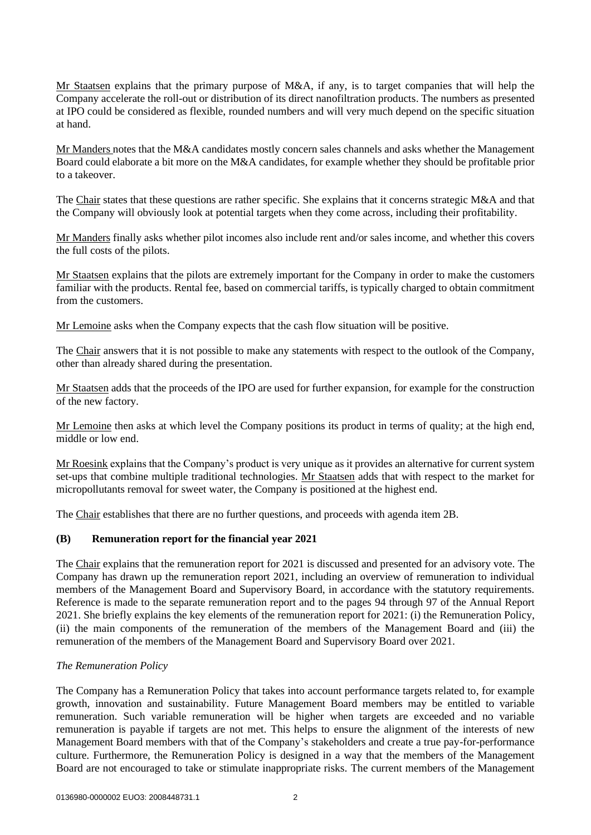Mr Staatsen explains that the primary purpose of M&A, if any, is to target companies that will help the Company accelerate the roll-out or distribution of its direct nanofiltration products. The numbers as presented at IPO could be considered as flexible, rounded numbers and will very much depend on the specific situation at hand.

Mr Manders notes that the M&A candidates mostly concern sales channels and asks whether the Management Board could elaborate a bit more on the M&A candidates, for example whether they should be profitable prior to a takeover.

The Chair states that these questions are rather specific. She explains that it concerns strategic M&A and that the Company will obviously look at potential targets when they come across, including their profitability.

Mr Manders finally asks whether pilot incomes also include rent and/or sales income, and whether this covers the full costs of the pilots.

Mr Staatsen explains that the pilots are extremely important for the Company in order to make the customers familiar with the products. Rental fee, based on commercial tariffs, is typically charged to obtain commitment from the customers.

Mr Lemoine asks when the Company expects that the cash flow situation will be positive.

The Chair answers that it is not possible to make any statements with respect to the outlook of the Company, other than already shared during the presentation.

Mr Staatsen adds that the proceeds of the IPO are used for further expansion, for example for the construction of the new factory.

Mr Lemoine then asks at which level the Company positions its product in terms of quality; at the high end, middle or low end.

Mr Roesink explains that the Company's product is very unique as it provides an alternative for current system set-ups that combine multiple traditional technologies. Mr Staatsen adds that with respect to the market for micropollutants removal for sweet water, the Company is positioned at the highest end.

The Chair establishes that there are no further questions, and proceeds with agenda item 2B.

### **(B) Remuneration report for the financial year 2021**

The Chair explains that the remuneration report for 2021 is discussed and presented for an advisory vote. The Company has drawn up the remuneration report 2021, including an overview of remuneration to individual members of the Management Board and Supervisory Board, in accordance with the statutory requirements. Reference is made to the separate remuneration report and to the pages 94 through 97 of the Annual Report 2021. She briefly explains the key elements of the remuneration report for 2021: (i) the Remuneration Policy, (ii) the main components of the remuneration of the members of the Management Board and (iii) the remuneration of the members of the Management Board and Supervisory Board over 2021.

### *The Remuneration Policy*

The Company has a Remuneration Policy that takes into account performance targets related to, for example growth, innovation and sustainability. Future Management Board members may be entitled to variable remuneration. Such variable remuneration will be higher when targets are exceeded and no variable remuneration is payable if targets are not met. This helps to ensure the alignment of the interests of new Management Board members with that of the Company's stakeholders and create a true pay-for-performance culture. Furthermore, the Remuneration Policy is designed in a way that the members of the Management Board are not encouraged to take or stimulate inappropriate risks. The current members of the Management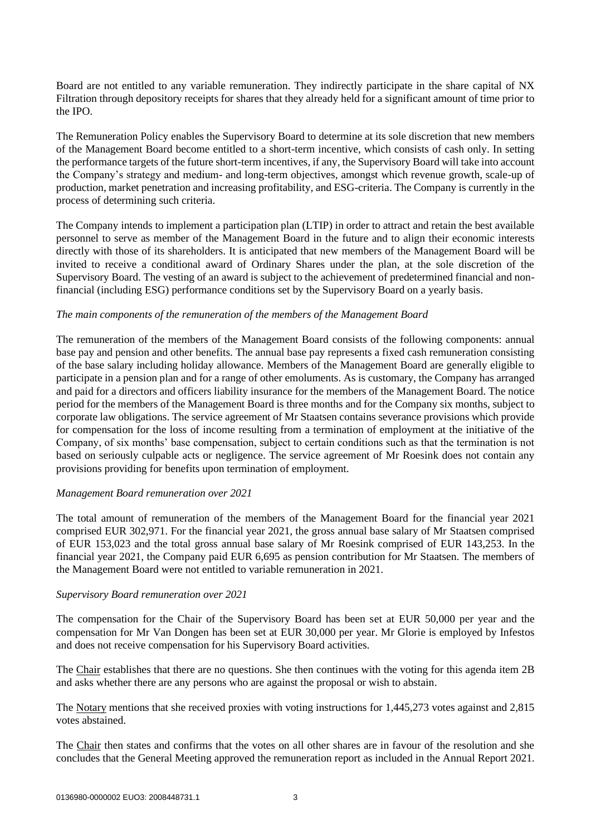Board are not entitled to any variable remuneration. They indirectly participate in the share capital of NX Filtration through depository receipts for shares that they already held for a significant amount of time prior to the IPO.

The Remuneration Policy enables the Supervisory Board to determine at its sole discretion that new members of the Management Board become entitled to a short-term incentive, which consists of cash only. In setting the performance targets of the future short-term incentives, if any, the Supervisory Board will take into account the Company's strategy and medium- and long-term objectives, amongst which revenue growth, scale-up of production, market penetration and increasing profitability, and ESG-criteria. The Company is currently in the process of determining such criteria.

The Company intends to implement a participation plan (LTIP) in order to attract and retain the best available personnel to serve as member of the Management Board in the future and to align their economic interests directly with those of its shareholders. It is anticipated that new members of the Management Board will be invited to receive a conditional award of Ordinary Shares under the plan, at the sole discretion of the Supervisory Board. The vesting of an award is subject to the achievement of predetermined financial and nonfinancial (including ESG) performance conditions set by the Supervisory Board on a yearly basis.

#### *The main components of the remuneration of the members of the Management Board*

The remuneration of the members of the Management Board consists of the following components: annual base pay and pension and other benefits. The annual base pay represents a fixed cash remuneration consisting of the base salary including holiday allowance. Members of the Management Board are generally eligible to participate in a pension plan and for a range of other emoluments. As is customary, the Company has arranged and paid for a directors and officers liability insurance for the members of the Management Board. The notice period for the members of the Management Board is three months and for the Company six months, subject to corporate law obligations. The service agreement of Mr Staatsen contains severance provisions which provide for compensation for the loss of income resulting from a termination of employment at the initiative of the Company, of six months' base compensation, subject to certain conditions such as that the termination is not based on seriously culpable acts or negligence. The service agreement of Mr Roesink does not contain any provisions providing for benefits upon termination of employment.

#### *Management Board remuneration over 2021*

The total amount of remuneration of the members of the Management Board for the financial year 2021 comprised EUR 302,971. For the financial year 2021, the gross annual base salary of Mr Staatsen comprised of EUR 153,023 and the total gross annual base salary of Mr Roesink comprised of EUR 143,253. In the financial year 2021, the Company paid EUR 6,695 as pension contribution for Mr Staatsen. The members of the Management Board were not entitled to variable remuneration in 2021.

#### *Supervisory Board remuneration over 2021*

The compensation for the Chair of the Supervisory Board has been set at EUR 50,000 per year and the compensation for Mr Van Dongen has been set at EUR 30,000 per year. Mr Glorie is employed by Infestos and does not receive compensation for his Supervisory Board activities.

The Chair establishes that there are no questions. She then continues with the voting for this agenda item 2B and asks whether there are any persons who are against the proposal or wish to abstain.

The Notary mentions that she received proxies with voting instructions for 1,445,273 votes against and 2,815 votes abstained.

The Chair then states and confirms that the votes on all other shares are in favour of the resolution and she concludes that the General Meeting approved the remuneration report as included in the Annual Report 2021.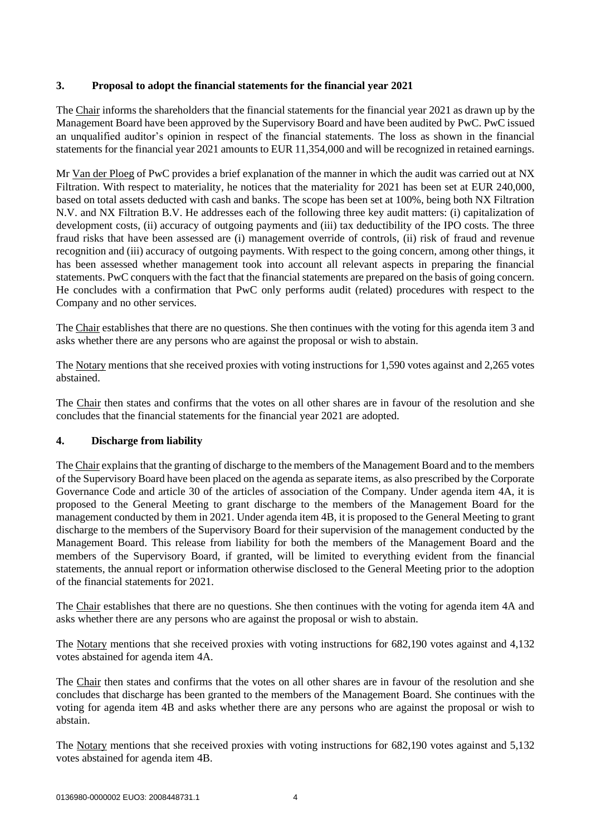## **3. Proposal to adopt the financial statements for the financial year 2021**

The Chair informs the shareholders that the financial statements for the financial year 2021 as drawn up by the Management Board have been approved by the Supervisory Board and have been audited by PwC. PwC issued an unqualified auditor's opinion in respect of the financial statements. The loss as shown in the financial statements for the financial year 2021 amounts to EUR 11,354,000 and will be recognized in retained earnings.

Mr Van der Ploeg of PwC provides a brief explanation of the manner in which the audit was carried out at NX Filtration. With respect to materiality, he notices that the materiality for 2021 has been set at EUR 240,000, based on total assets deducted with cash and banks. The scope has been set at 100%, being both NX Filtration N.V. and NX Filtration B.V. He addresses each of the following three key audit matters: (i) capitalization of development costs, (ii) accuracy of outgoing payments and (iii) tax deductibility of the IPO costs. The three fraud risks that have been assessed are (i) management override of controls, (ii) risk of fraud and revenue recognition and (iii) accuracy of outgoing payments. With respect to the going concern, among other things, it has been assessed whether management took into account all relevant aspects in preparing the financial statements. PwC conquers with the fact that the financial statements are prepared on the basis of going concern. He concludes with a confirmation that PwC only performs audit (related) procedures with respect to the Company and no other services.

The Chair establishes that there are no questions. She then continues with the voting for this agenda item 3 and asks whether there are any persons who are against the proposal or wish to abstain.

The Notary mentions that she received proxies with voting instructions for 1,590 votes against and 2,265 votes abstained.

The Chair then states and confirms that the votes on all other shares are in favour of the resolution and she concludes that the financial statements for the financial year 2021 are adopted.

# **4. Discharge from liability**

The Chair explains that the granting of discharge to the members of the Management Board and to the members of the Supervisory Board have been placed on the agenda as separate items, as also prescribed by the Corporate Governance Code and article 30 of the articles of association of the Company. Under agenda item 4A, it is proposed to the General Meeting to grant discharge to the members of the Management Board for the management conducted by them in 2021. Under agenda item 4B, it is proposed to the General Meeting to grant discharge to the members of the Supervisory Board for their supervision of the management conducted by the Management Board. This release from liability for both the members of the Management Board and the members of the Supervisory Board, if granted, will be limited to everything evident from the financial statements, the annual report or information otherwise disclosed to the General Meeting prior to the adoption of the financial statements for 2021.

The Chair establishes that there are no questions. She then continues with the voting for agenda item 4A and asks whether there are any persons who are against the proposal or wish to abstain.

The Notary mentions that she received proxies with voting instructions for 682,190 votes against and 4,132 votes abstained for agenda item 4A.

The Chair then states and confirms that the votes on all other shares are in favour of the resolution and she concludes that discharge has been granted to the members of the Management Board. She continues with the voting for agenda item 4B and asks whether there are any persons who are against the proposal or wish to abstain.

The Notary mentions that she received proxies with voting instructions for 682,190 votes against and 5,132 votes abstained for agenda item 4B.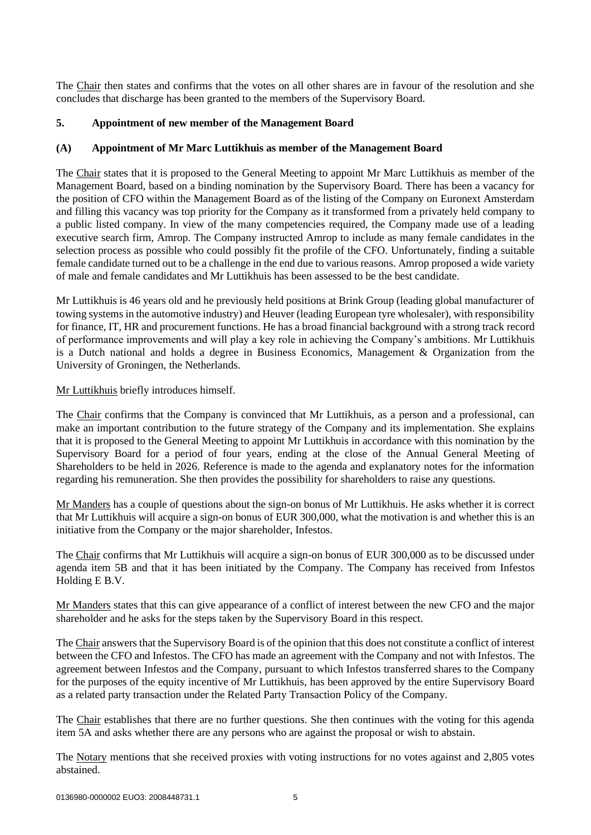The Chair then states and confirms that the votes on all other shares are in favour of the resolution and she concludes that discharge has been granted to the members of the Supervisory Board.

### **5. Appointment of new member of the Management Board**

### **(A) Appointment of Mr Marc Luttikhuis as member of the Management Board**

The Chair states that it is proposed to the General Meeting to appoint Mr Marc Luttikhuis as member of the Management Board, based on a binding nomination by the Supervisory Board. There has been a vacancy for the position of CFO within the Management Board as of the listing of the Company on Euronext Amsterdam and filling this vacancy was top priority for the Company as it transformed from a privately held company to a public listed company. In view of the many competencies required, the Company made use of a leading executive search firm, Amrop. The Company instructed Amrop to include as many female candidates in the selection process as possible who could possibly fit the profile of the CFO. Unfortunately, finding a suitable female candidate turned out to be a challenge in the end due to various reasons. Amrop proposed a wide variety of male and female candidates and Mr Luttikhuis has been assessed to be the best candidate.

Mr Luttikhuis is 46 years old and he previously held positions at Brink Group (leading global manufacturer of towing systems in the automotive industry) and Heuver (leading European tyre wholesaler), with responsibility for finance, IT, HR and procurement functions. He has a broad financial background with a strong track record of performance improvements and will play a key role in achieving the Company's ambitions. Mr Luttikhuis is a Dutch national and holds a degree in Business Economics, Management & Organization from the University of Groningen, the Netherlands.

Mr Luttikhuis briefly introduces himself.

The Chair confirms that the Company is convinced that Mr Luttikhuis, as a person and a professional, can make an important contribution to the future strategy of the Company and its implementation. She explains that it is proposed to the General Meeting to appoint Mr Luttikhuis in accordance with this nomination by the Supervisory Board for a period of four years, ending at the close of the Annual General Meeting of Shareholders to be held in 2026. Reference is made to the agenda and explanatory notes for the information regarding his remuneration. She then provides the possibility for shareholders to raise any questions.

Mr Manders has a couple of questions about the sign-on bonus of Mr Luttikhuis. He asks whether it is correct that Mr Luttikhuis will acquire a sign-on bonus of EUR 300,000, what the motivation is and whether this is an initiative from the Company or the major shareholder, Infestos.

The Chair confirms that Mr Luttikhuis will acquire a sign-on bonus of EUR 300,000 as to be discussed under agenda item 5B and that it has been initiated by the Company. The Company has received from Infestos Holding E B.V.

Mr Manders states that this can give appearance of a conflict of interest between the new CFO and the major shareholder and he asks for the steps taken by the Supervisory Board in this respect.

The Chair answers that the Supervisory Board is of the opinion that this does not constitute a conflict of interest between the CFO and Infestos. The CFO has made an agreement with the Company and not with Infestos. The agreement between Infestos and the Company, pursuant to which Infestos transferred shares to the Company for the purposes of the equity incentive of Mr Luttikhuis, has been approved by the entire Supervisory Board as a related party transaction under the Related Party Transaction Policy of the Company.

The Chair establishes that there are no further questions. She then continues with the voting for this agenda item 5A and asks whether there are any persons who are against the proposal or wish to abstain.

The Notary mentions that she received proxies with voting instructions for no votes against and 2,805 votes abstained.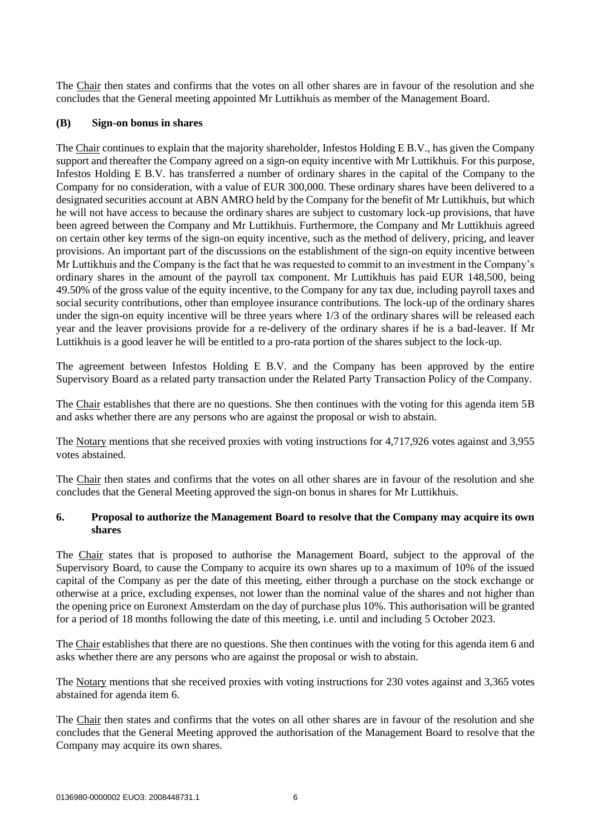The Chair then states and confirms that the votes on all other shares are in favour of the resolution and she concludes that the General meeting appointed Mr Luttikhuis as member of the Management Board.

### **(B) Sign-on bonus in shares**

The Chair continues to explain that the majority shareholder, Infestos Holding E B.V., has given the Company support and thereafter the Company agreed on a sign-on equity incentive with Mr Luttikhuis. For this purpose, Infestos Holding E B.V. has transferred a number of ordinary shares in the capital of the Company to the Company for no consideration, with a value of EUR 300,000. These ordinary shares have been delivered to a designated securities account at ABN AMRO held by the Company for the benefit of Mr Luttikhuis, but which he will not have access to because the ordinary shares are subject to customary lock-up provisions, that have been agreed between the Company and Mr Luttikhuis. Furthermore, the Company and Mr Luttikhuis agreed on certain other key terms of the sign-on equity incentive, such as the method of delivery, pricing, and leaver provisions. An important part of the discussions on the establishment of the sign-on equity incentive between Mr Luttikhuis and the Company is the fact that he was requested to commit to an investment in the Company's ordinary shares in the amount of the payroll tax component. Mr Luttikhuis has paid EUR 148,500, being 49.50% of the gross value of the equity incentive, to the Company for any tax due, including payroll taxes and social security contributions, other than employee insurance contributions. The lock-up of the ordinary shares under the sign-on equity incentive will be three years where 1/3 of the ordinary shares will be released each year and the leaver provisions provide for a re-delivery of the ordinary shares if he is a bad-leaver. If Mr Luttikhuis is a good leaver he will be entitled to a pro-rata portion of the shares subject to the lock-up.

The agreement between Infestos Holding E B.V. and the Company has been approved by the entire Supervisory Board as a related party transaction under the Related Party Transaction Policy of the Company.

The Chair establishes that there are no questions. She then continues with the voting for this agenda item 5B and asks whether there are any persons who are against the proposal or wish to abstain.

The Notary mentions that she received proxies with voting instructions for 4,717,926 votes against and 3,955 votes abstained.

The Chair then states and confirms that the votes on all other shares are in favour of the resolution and she concludes that the General Meeting approved the sign-on bonus in shares for Mr Luttikhuis.

### **6. Proposal to authorize the Management Board to resolve that the Company may acquire its own shares**

The Chair states that is proposed to authorise the Management Board, subject to the approval of the Supervisory Board, to cause the Company to acquire its own shares up to a maximum of 10% of the issued capital of the Company as per the date of this meeting, either through a purchase on the stock exchange or otherwise at a price, excluding expenses, not lower than the nominal value of the shares and not higher than the opening price on Euronext Amsterdam on the day of purchase plus 10%. This authorisation will be granted for a period of 18 months following the date of this meeting, i.e. until and including 5 October 2023.

The Chair establishes that there are no questions. She then continues with the voting for this agenda item 6 and asks whether there are any persons who are against the proposal or wish to abstain.

The Notary mentions that she received proxies with voting instructions for 230 votes against and 3,365 votes abstained for agenda item 6.

The Chair then states and confirms that the votes on all other shares are in favour of the resolution and she concludes that the General Meeting approved the authorisation of the Management Board to resolve that the Company may acquire its own shares.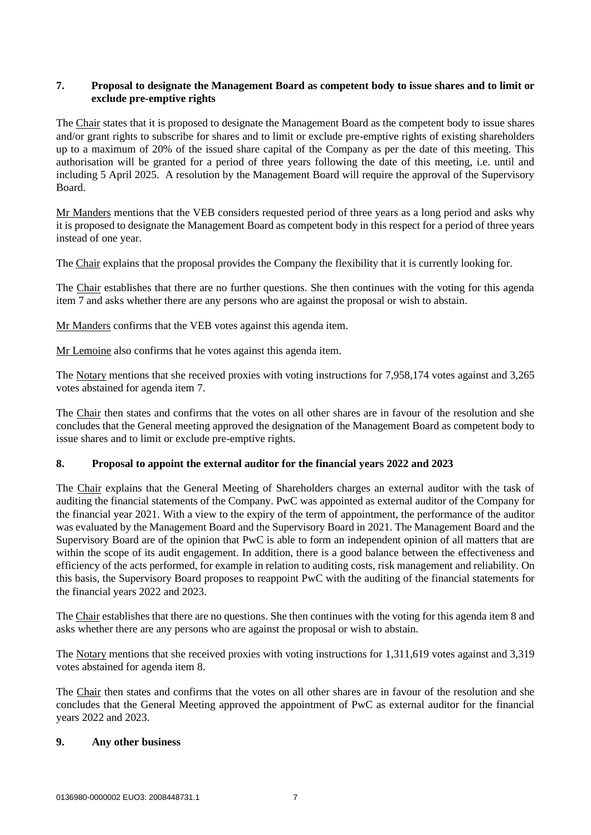## **7. Proposal to designate the Management Board as competent body to issue shares and to limit or exclude pre-emptive rights**

The Chair states that it is proposed to designate the Management Board as the competent body to issue shares and/or grant rights to subscribe for shares and to limit or exclude pre-emptive rights of existing shareholders up to a maximum of 20% of the issued share capital of the Company as per the date of this meeting. This authorisation will be granted for a period of three years following the date of this meeting, i.e. until and including 5 April 2025. A resolution by the Management Board will require the approval of the Supervisory Board.

Mr Manders mentions that the VEB considers requested period of three years as a long period and asks why it is proposed to designate the Management Board as competent body in this respect for a period of three years instead of one year.

The Chair explains that the proposal provides the Company the flexibility that it is currently looking for.

The Chair establishes that there are no further questions. She then continues with the voting for this agenda item 7 and asks whether there are any persons who are against the proposal or wish to abstain.

Mr Manders confirms that the VEB votes against this agenda item.

Mr Lemoine also confirms that he votes against this agenda item.

The Notary mentions that she received proxies with voting instructions for 7,958,174 votes against and 3,265 votes abstained for agenda item 7.

The Chair then states and confirms that the votes on all other shares are in favour of the resolution and she concludes that the General meeting approved the designation of the Management Board as competent body to issue shares and to limit or exclude pre-emptive rights.

# **8. Proposal to appoint the external auditor for the financial years 2022 and 2023**

The Chair explains that the General Meeting of Shareholders charges an external auditor with the task of auditing the financial statements of the Company. PwC was appointed as external auditor of the Company for the financial year 2021. With a view to the expiry of the term of appointment, the performance of the auditor was evaluated by the Management Board and the Supervisory Board in 2021. The Management Board and the Supervisory Board are of the opinion that PwC is able to form an independent opinion of all matters that are within the scope of its audit engagement. In addition, there is a good balance between the effectiveness and efficiency of the acts performed, for example in relation to auditing costs, risk management and reliability. On this basis, the Supervisory Board proposes to reappoint PwC with the auditing of the financial statements for the financial years 2022 and 2023.

The Chair establishes that there are no questions. She then continues with the voting for this agenda item 8 and asks whether there are any persons who are against the proposal or wish to abstain.

The Notary mentions that she received proxies with voting instructions for 1,311,619 votes against and 3,319 votes abstained for agenda item 8.

The Chair then states and confirms that the votes on all other shares are in favour of the resolution and she concludes that the General Meeting approved the appointment of PwC as external auditor for the financial years 2022 and 2023.

### **9. Any other business**